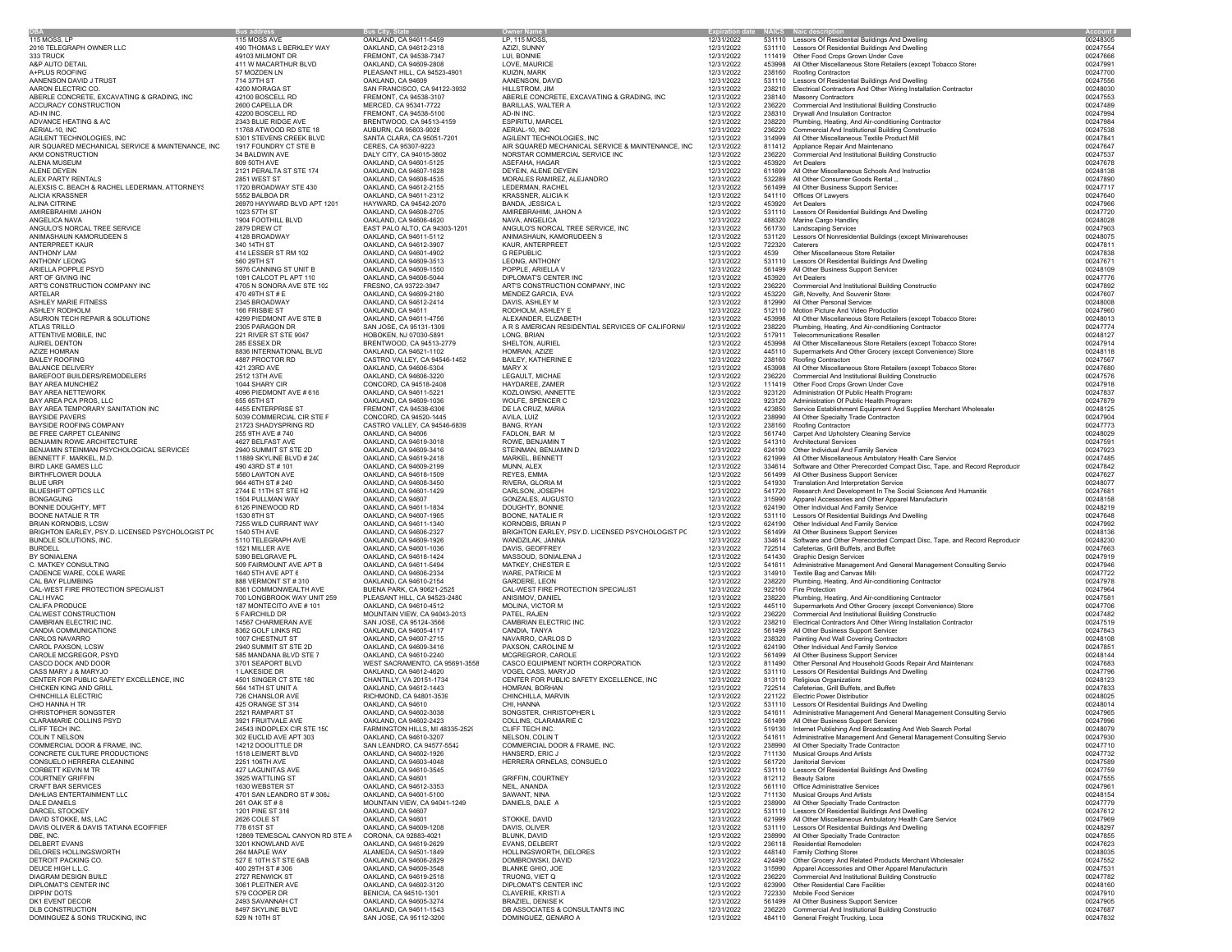|                                                   | Bus addres                                | us Citv. S                              |                                                   | Expiration date  NAICS  Naic des |        |                                                                                 | Account  |
|---------------------------------------------------|-------------------------------------------|-----------------------------------------|---------------------------------------------------|----------------------------------|--------|---------------------------------------------------------------------------------|----------|
| 115 MOSS, LP                                      | 115 MOSS AVE                              | OAKLAND, CA 94611-5459                  | LP. 115 MOSS.                                     | 12/31/2022                       |        | 531110 Lessors Of Residential Buildings And Dwelling                            | 00248305 |
| 2016 TELEGRAPH OWNER LLC                          | 490 THOMAS L BERKLEY WAY                  | OAKLAND, CA 94612-2318                  | AZIZI, SUNNY                                      | 12/31/2022                       |        | 531110 Lessors Of Residential Buildings And Dwelling                            | 00247554 |
| 333 TRUCK                                         | 49103 MILMONT DR                          | FREMONT, CA 94538-7347                  | LUI, BONNIE                                       | 12/31/2022                       |        | 111419 Other Food Crops Grown Under Cove                                        | 00247666 |
| A&P AUTO DETAIL                                   | 411 W MACARTHUR BLVD                      | OAKLAND, CA 94609-2808                  | LOVE, MAURICE                                     | 12/31/2022                       |        | 453998 All Other Miscellaneous Store Retailers (except Tobacco Store:           | 00247991 |
| A+PLUS ROOFING                                    | 57 MOZDEN LN                              | PLEASANT HILL, CA 94523-4901            | KUI7IN MARK                                       | 12/31/2022                       |        | 238160 Roofing Contractors                                                      | 00247700 |
| AANENSON DAVID J TRUST                            | 714 37TH ST                               | OAKLAND, CA 94609                       | AANENSON, DAVID                                   | 12/31/2022                       |        | 531110 Lessors Of Residential Buildings And Dwelling                            | 00247556 |
| AARON ELECTRIC CO.                                | 4200 MORAGA ST                            | SAN FRANCISCO, CA 94122-3932            | HILLSTROM, JIM                                    | 12/31/2022                       |        | 238210 Electrical Contractors And Other Wiring Installation Contractor          | 00248030 |
| ABERLE CONCRETE, EXCAVATING & GRADING, INC        | 42100 BOSCELL RD                          | FREMONT, CA 94538-3107                  | ABERLE CONCRETE, EXCAVATING & GRADING, INC        | 12/31/2022                       |        | 238140 Masonry Contractors                                                      | 00247553 |
| ACCURACY CONSTRUCTION                             | 2600 CAPELLA DR                           | MERCED, CA 95341-7722                   | BARILLAS, WALTER A                                | 12/31/2022                       |        | 236220 Commercial And Institutional Building Constructio                        | 00247489 |
| AD-IN INC.                                        | 42200 BOSCELL RD                          | FREMONT, CA 94538-5100                  | AD-IN INC.                                        | 12/31/2022                       |        | 238310 Drywall And Insulation Contractors                                       | 00247994 |
| ADVANCE HEATING & A/C                             | 2343 BLUE RIDGE AVE                       | BRENTWOOD, CA 94513-4159                | ESPIRITU, MARCEL                                  | 12/31/2022                       | 238220 | Plumbing, Heating, And Air-conditioning Contractor                              | 00247984 |
| AERIAL-10, INC                                    | 11768 ATWOOD RD STE 18                    | AUBURN, CA 95603-9028                   | AERIAL-10, INC                                    | 12/31/2022                       | 236220 | Commercial And Institutional Building Constructio                               | 00247538 |
| AGILENT TECHNOLOGIES, INC                         | 5301 STEVENS CREEK BLVD                   | SANTA CLARA, CA 95051-7201              | AGILENT TECHNOLOGIES, INC                         | 12/31/2022                       | 314999 | All Other Miscellaneous Textile Product Mill                                    | 00247841 |
| AIR SQUARED MECHANICAL SERVICE & MAINTENANCE, INC | 1917 FOUNDRY CT STE B                     | CERES, CA 95307-9223                    | AIR SQUARED MECHANICAL SERVICE & MAINTENANCE, INC | 12/31/2022                       |        | 811412 Appliance Repair And Maintenanc                                          | 00247647 |
| AKM CONSTRUCTION                                  | 34 BALDWIN AVE                            | DALY CITY, CA 94015-3802                | NORSTAR COMMERCIAL SERVICE INC                    | 12/31/2022                       | 236220 | Commercial And Institutional Building Constructio                               | 00247537 |
| ALENA MUSEUM                                      | 809 50TH AVE                              | OAKLAND, CA 94601-5125                  | ASEFAHA, HAGAR                                    | 12/31/2022                       | 453920 | Art Dealers                                                                     | 00247678 |
| ALENE DEYEIN                                      | 2121 PERALTA ST STE 174                   | OAKLAND, CA 94607-1628                  | DEYEIN, ALENE DEYEIN                              | 12/31/2022                       | 611699 | All Other Miscellaneous Schools And Instructio                                  | 00248138 |
| ALEX PARTY RENTALS                                | 2851 WEST ST                              | OAKLAND, CA 94608-4535                  | MORALES RAMIREZ, ALEJANDRC                        | 12/31/2022                       | 532289 | All Other Consumer Goods Rental                                                 | 00247890 |
| ALEXSIS C. BEACH & RACHEL LEDERMAN, ATTORNEYS     | 1720 BROADWAY STE 430                     | OAKLAND, CA 94612-2155                  | LEDERMAN, RACHEL                                  | 12/31/2022                       | 561499 | All Other Business Support Services                                             | 00247717 |
| <b>ALICIA KRASSNER</b>                            | 5552 BALBOA DR                            | OAKLAND, CA 94611-2312                  | <b>KRASSNER, ALICIA K</b>                         | 12/31/2022                       |        | 541110 Offices Of Lawyers                                                       | 00247640 |
| ALINA CITRINE                                     | 26970 HAYWARD BLVD APT 1201               | HAYWARD, CA 94542-2070                  | BANDA, JESSICA L                                  | 12/31/2022                       |        | 453920 Art Dealers                                                              | 00247966 |
| AMIREBRAHIMI JAHON                                | 1023 57TH ST                              | OAKLAND, CA 94608-2705                  | AMIREBRAHIMI, JAHON A                             | 12/31/2022                       |        | 531110 Lessors Of Residential Buildings And Dwelling                            | 00247720 |
| ANGELICA NAVA                                     | 1904 FOOTHILL BLVD                        | OAKLAND, CA 94606-4620                  | NAVA, ANGELICA                                    | 12/31/2022                       |        | 488320 Marine Cargo Handling                                                    | 00248028 |
| ANGULO'S NORCAL TREE SERVICE                      | 2879 DREW CT                              | EAST PALO ALTO, CA 94303-1201           | ANGULO'S NORCAL TREE SERVICE, INC                 | 12/31/2022                       |        | 561730 Landscaping Services                                                     | 00247903 |
| ANIMASHAUN KAMORUDEEN S                           | 4128 BROADWAY                             | OAKLAND, CA 94611-5112                  | ANIMASHAUN, KAMORUDEEN S                          | 12/31/2022                       |        | 531120 Lessors Of Nonresidential Buildings (except Miniwarehouses               | 00248075 |
| ANTERPREET KAUR                                   | 340 14TH ST                               | OAKLAND, CA 94612-3907                  | KAUR, ANTERPREET                                  | 12/31/2022                       |        | 722320 Caterers                                                                 | 00247811 |
| ANTHONY LAM                                       | 414 LESSER ST RM 102                      | OAKLAND, CA 94601-4902                  | <b>G REPUBLIC</b>                                 | 12/31/2022                       | 4539   | Other Miscellaneous Store Retailer:                                             | 00247838 |
| <b>ANTHONY LEONG</b>                              | 560 29TH ST                               | OAKLAND, CA 94609-3513                  | LEONG, ANTHONY                                    | 12/31/2022                       | 531110 | Lessors Of Residential Buildings And Dwelling                                   | 00247671 |
| ARIELLA POPPLE PSYD                               | 5976 CANNING ST UNIT B                    | OAKLAND, CA 94609-1550                  | POPPLE, ARIELLA V                                 | 12/31/2022                       |        | 561499 All Other Business Support Services                                      | 00248109 |
|                                                   |                                           |                                         |                                                   |                                  |        |                                                                                 | 00247776 |
| ART OF GIVING INC                                 | 1091 CALCOT PL APT 110                    | OAKLAND, CA 94606-5044                  | DIPLOMAT'S CENTER INC                             | 12/31/2022                       |        | 453920 Art Dealers                                                              |          |
| ART'S CONSTRUCTION COMPANY INC                    | 4705 N SONORA AVE STE 102                 | FRESNO, CA 93722-3947                   | ART'S CONSTRUCTION COMPANY, INC                   | 12/31/2022                       | 236220 | Commercial And Institutional Building Constructio                               | 00247892 |
| ARTELAR                                           | 470 49TH ST # E                           | OAKLAND, CA 94609-2180                  | MENDEZ GARCIA, EVA                                | 12/31/2022                       |        | 453220 Gift, Novelty, And Souvenir Stores                                       | 00247607 |
| ASHLEY MARIE FITNESS                              | 2345 BROADWAY                             | OAKLAND, CA 94612-2414                  | DAVIS, ASHLEY M                                   | 12/31/2022                       |        | 812990 All Other Personal Services                                              | 00248008 |
| ASHLEY RODHOLM                                    | 166 FRISBIE ST                            | OAKLAND, CA 94611                       | RODHOLM, ASHLEY E                                 | 12/31/2022                       |        | 512110 Motion Picture And Video Production                                      | 00247960 |
| ASURION TECH REPAIR & SOLUTIONS                   | 4299 PIEDMONT AVE STE B                   | OAKLAND, CA 94611-4756                  | ALEXANDER, ELIZABETH                              | 12/31/2022                       | 453998 | All Other Miscellaneous Store Retailers (except Tobacco Store:                  | 00248013 |
| ATLAS TRILLO                                      | 2305 PARAGON DR                           | SAN JOSE, CA 95131-1309                 | A R S AMERICAN RESIDENTIAL SERVICES OF CALIFORNIA | 12/31/2022                       | 238220 | Plumbing, Heating, And Air-conditioning Contractor                              | 00247774 |
| ATTENTIVE MOBILE. INC                             | 221 RIVER ST STE 9047                     | HOBOKEN, NJ 07030-5891                  | LONG, BRIAN                                       | 12/31/2022                       | 517911 | Telecommunications Reseller                                                     | 00248127 |
| AURIEL DENTON                                     | 285 ESSEX DR                              | BRENTWOOD, CA 94513-2779                | SHELTON, AURIEL                                   | 12/31/2022                       | 453998 | All Other Miscellaneous Store Retailers (except Tobacco Store:                  | 00247914 |
| <b>AZIZE HOMRAN</b>                               | 8836 INTERNATIONAL BLVD                   | OAKLAND, CA 94621-1102                  | HOMRAN, AZIZE                                     | 12/31/2022                       |        | 445110 Supermarkets And Other Grocery (except Convenience) Store                | 00248118 |
| <b>BAILEY ROOFING</b>                             | 4887 PROCTOR RD                           | CASTRO VALLEY, CA 94546-1452            | BAILEY, KATHERINE E                               | 12/31/2022                       | 238160 | Roofing Contractors                                                             | 00247567 |
| <b>BALANCE DELIVERY</b>                           | 421 23RD AVE                              | OAKLAND, CA 94606-5304                  | MARY X                                            | 12/31/2022                       |        | 453998 All Other Miscellaneous Store Retailers (except Tobacco Store:           | 00247680 |
| BAREFOOT BUILDERS/REMODELERS                      | 2512 13TH AVE                             | OAKLAND, CA 94606-3220                  | LEGAULT, MICHAE                                   | 12/31/2022                       |        | 236220 Commercial And Institutional Building Constructio                        | 00247576 |
| BAY AREA MUNCHIEZ                                 | 1044 SHARY CIR                            | CONCORD, CA 94518-2408                  | HAYDAREE, ZAMER                                   | 12/31/2022                       |        | 111419 Other Food Crops Grown Under Cove                                        | 00247918 |
| BAY AREA NETTEWORK                                | 4096 PIEDMONT AVE # 616                   | OAKLAND, CA 94611-5221                  | KOZLOWSKI, ANNETTE                                | 12/31/2022                       |        | 923120 Administration Of Public Health Programs                                 | 00247837 |
| BAY AREA PCA PROS, LLC                            | 655 65TH ST                               | OAKLAND, CA 94609-1036                  | WOLFE, SPENCER C                                  | 12/31/2022                       |        | 923120 Administration Of Public Health Programs                                 | 00247879 |
| BAY AREA TEMPORARY SANITATION INC                 | 4455 ENTERPRISE ST                        | FREMONT, CA 94538-6306                  | DE LA CRUZ, MARIA                                 | 12/31/2022                       |        | 423850 Service Establishment Equipment And Supplies Merchant Wholesaler         | 00248125 |
| <b>BAYSIDE PAVERS</b>                             | 5039 COMMERCIAL CIR STE F                 | CONCORD, CA 94520-1445                  | AVILA, LUIZ                                       | 12/31/2022                       | 238990 | All Other Specialty Trade Contractors                                           | 00247904 |
| BAYSIDE ROOFING COMPANY                           | 21723 SHADYSPRING RD                      | CASTRO VALLEY, CA 94546-6839            | BANG, RYAN                                        | 12/31/2022                       |        | 238160 Roofing Contractors                                                      | 00247773 |
| BE FREE CARPET CLEANING                           | 255 9TH AVE #740                          | OAKLAND, CA 94606                       | FADLON, BAR M                                     | 12/31/2022                       |        | 561740 Carpet And Upholstery Cleaning Service                                   | 00248029 |
| BENJAMIN ROWE ARCHITECTURE                        | 4627 BELFAST AVE                          | OAKLAND, CA 94619-3018                  | ROWE, BENJAMIN T                                  | 12/31/2022                       |        | 541310 Architectural Services                                                   | 00247591 |
| BENJAMIN STEINMAN PSYCHOLOGICAL SERVICES          | 2940 SUMMIT ST STE 2D                     | OAKLAND, CA 94609-3416                  | STEINMAN, BENJAMIN D                              | 12/31/2022                       |        | 624190 Other Individual And Family Service                                      | 00247923 |
| BENNETT F. MARKEL, M.D.                           | 11889 SKYLINE BLVD # 240                  | OAKLAND, CA 94619-2418                  | MARKEL, BENNETT                                   | 12/31/2022                       | 621999 | All Other Miscellaneous Ambulatory Health Care Service                          | 00247485 |
| <b>BIRD LAKE GAMES LLC</b>                        | 490 43RD ST # 101                         | OAKLAND, CA 94609-2199                  | MUNN, ALEX                                        | 12/31/2022                       | 334614 | Software and Other Prerecorded Compact Disc, Tape, and Record Reproducin        | 00247842 |
| BIRTHFLOWER DOULA                                 | 5560 LAWTON AVE                           | OAKLAND, CA 94618-1509                  | REYES, EMMA                                       | 12/31/2022                       |        | 561499 All Other Business Support Services                                      | 00247627 |
| <b>BLUE URPI</b>                                  | 964 46TH ST # 240                         | OAKLAND, CA 94608-3450                  | RIVERA, GLORIA M                                  | 12/31/2022                       | 541930 | Translation And Interpretation Service                                          | 00248077 |
|                                                   |                                           |                                         |                                                   |                                  | 541720 |                                                                                 | 00247681 |
| BLUESHIFT OPTICS LLC                              | 2744 E 11TH ST STE H2<br>1504 PULLMAN WAY | OAKLAND, CA 94601-1429                  | CARLSON, JOSEPH                                   | 12/31/2022                       |        | Research And Development In The Social Sciences And Humanitie                   |          |
| <b>BONGAGUNG</b>                                  |                                           | OAKLAND, CA 94607                       | GONZALES, AUGUSTO                                 | 12/31/2022                       |        | 315990 Apparel Accessories and Other Apparel Manufacturin                       | 00248158 |
| BONNIE DOUGHTY, MFT                               | 6126 PINEWOOD RD                          | OAKLAND, CA 94611-1834                  | DOUGHTY, BONNIE                                   | 12/31/2022                       |        | 624190 Other Individual And Family Service                                      | 00248219 |
| BOONE NATALIE R TR                                | 1530 8TH ST                               | OAKLAND, CA 94607-1965                  | BOONE, NATALIE R                                  | 12/31/2022                       |        | 531110 Lessors Of Residential Buildings And Dwelling                            | 00247648 |
| BRIAN KORNOBIS, LCSW                              | 7255 WILD CURRANT WAY                     | OAKLAND, CA 94611-1340                  | KORNOBIS, BRIAN P                                 | 12/31/2022                       |        | 624190 Other Individual And Family Service                                      | 00247992 |
| BRIGHTON EARLEY, PSY.D. LICENSED PSYCHOLOGIST PC  | 1540 5TH AVE                              | OAKLAND, CA 94606-2327                  | BRIGHTON EARLEY, PSY.D. LICENSED PSYCHOLOGIST P(  | 12/31/2022                       | 561499 | All Other Business Support Services                                             | 00248136 |
| BUNDLE SOLUTIONS, INC.                            | 5110 TELEGRAPH AVE                        | OAKLAND, CA 94609-1926                  | WANDZILAK, JANNA                                  | 12/31/2022                       |        | 334614 Software and Other Prerecorded Compact Disc, Tape, and Record Reproducin | 00248230 |
| <b>BURDELL</b>                                    | 1521 MILLER AVE                           | OAKLAND, CA 94601-1036                  | DAVIS, GEOFFREY                                   | 12/31/2022                       |        | 722514 Cafeterias, Grill Buffets, and Buffets                                   | 00247663 |
| BY SONIALENA                                      | 5390 BELGRAVE PL                          | OAKLAND, CA 94618-1424                  | MASSOUD, SONIALENA J                              | 12/31/2022                       |        | 541430 Graphic Design Services                                                  | 00247919 |
| C. MATKEY CONSULTING                              | 509 FAIRMOUNT AVE APT B                   | OAKLAND, CA 94611-5494                  | MATKEY, CHESTER E                                 | 12/31/2022                       | 541611 | Administrative Management And General Management Consulting Service             | 00247946 |
| CADENCE WARE, COLE WARE                           | 1640 5TH AVE APT 6                        | OAKLAND, CA 94606-2334                  | WARE, PATRICE M                                   | 12/31/2022                       |        | 314910 Textile Bag and Canvas Mill:                                             | 00247722 |
| CAL BAY PLUMBING                                  | 888 VERMONT ST # 310                      | OAKLAND, CA 94610-2154                  | GARDERE, LEON                                     | 12/31/2022                       | 238220 | Plumbing, Heating, And Air-conditioning Contractor                              | 00247978 |
| CAL-WEST FIRE PROTECTION SPECIALIST               | 8361 COMMONWEALTH AVE                     | BUENA PARK, CA 90621-2525               | CAL-WEST FIRE PROTECTION SPECIALIST               | 12/31/2022                       |        | 922160 Fire Protection                                                          | 00247964 |
| CALI HVAC                                         | 700 LONGBROOK WAY UNIT 259                | PLEASANT HILL, CA 94523-2480            | ANISIMOV, DANIEL                                  | 12/31/2022                       | 238220 | Plumbing, Heating, And Air-conditioning Contractor                              | 00247581 |
| CALIFA PRODUCE                                    | 187 MONTECITO AVE # 101                   | OAKLAND, CA 94610-4512                  | MOLINA, VICTOR M                                  | 12/31/2022                       |        | 445110 Supermarkets And Other Grocery (except Convenience) Store                | 00247706 |
| CALWEST CONSTRUCTION                              | 5 FAIRCHILD DR                            | MOUNTAIN VIEW, CA 94043-2013            | PATEL, RAJEN                                      | 12/31/2022                       |        | 236220 Commercial And Institutional Building Constructio                        | 00247482 |
| CAMBRIAN ELECTRIC INC.                            | 14567 CHARMERAN AVE                       | SAN JOSE, CA 95124-3566                 | CAMBRIAN ELECTRIC INC.                            | 12/31/2022                       |        | 238210 Electrical Contractors And Other Wiring Installation Contractor          | 00247519 |
| CANDIA COMMUNICATIONS                             | 8362 GOLF LINKS RD                        | OAKLAND, CA 94605-4117                  | CANDIA, TANYA                                     | 12/31/2022                       | 561499 | All Other Business Support Services                                             | 00247843 |
| CARLOS NAVARRO                                    | 1007 CHESTNUT ST                          | OAKLAND, CA 94607-2715                  | NAVARRO, CARLOS D                                 | 12/31/2022                       |        | 238320 Painting And Wall Covering Contractors                                   | 00248108 |
| CAROL PAXSON, LCSW                                | 2940 SUMMIT ST STE 2D                     | OAKLAND, CA 94609-3416                  | PAXSON, CAROLINE M                                | 12/31/2022                       |        | 624190 Other Individual And Family Service                                      | 00247851 |
| CAROLE MCGREGOR, PSYD                             | 585 MANDANA BLVD STE 7                    | OAKLAND, CA 94610-2240                  | MCGREGROR, CAROLE                                 | 12/31/2022                       |        | 561499 All Other Business Support Services                                      | 00248144 |
| CASCO DOCK AND DOOR                               | 3701 SEAPORT BLVD                         | WEST SACRAMENTO, CA 95691-3558          | CASCO EQUIPMENT NORTH CORPORATION                 | 12/31/2022                       | 811490 | Other Personal And Household Goods Repair And Maintenand                        | 00247683 |
| CASS MARY J & MARYJO                              | 1 LAKESIDE DR                             | OAKLAND, CA 94612-4620                  | VOGEL CASS, MARYJO                                | 12/31/2022                       |        | 531110 Lessors Of Residential Buildings And Dwelling                            | 00247796 |
| CENTER FOR PUBLIC SAFETY EXCELLENCE, INC          | 4501 SINGER CT STE 180                    | CHANTILLY, VA 20151-1734                | CENTER FOR PUBLIC SAFETY EXCELLENCE, INC          | 12/31/2022                       |        | 813110 Religious Organizations                                                  | 00248123 |
| CHICKEN KING AND GRILL                            | 564 14TH ST UNIT A                        | OAKLAND, CA 94612-1443                  | HOMRAN, BORHAN                                    | 12/31/2022                       |        | 722514 Cafeterias, Grill Buffets, and Buffets                                   | 00247833 |
| CHINCHILLA ELECTRIC                               | 726 CHANSLOR AVE                          | RICHMOND, CA 94801-3539                 | CHINCHILLA, MARVIN                                | 12/31/2022                       |        | 221122 Electric Power Distribution                                              | 00248025 |
| CHO HANNA H TR                                    | 425 ORANGE ST 314                         | OAKLAND, CA 94610                       | CHI, HANNA                                        | 12/31/2022                       |        | 531110 Lessors Of Residential Buildings And Dwelling                            | 00248014 |
|                                                   | 2521 RAMPART ST                           | OAKLAND, CA 94602-3038                  | SONGSTER, CHRISTOPHER L                           |                                  |        | 541611 Administrative Management And General Management Consulting Service      |          |
| CHRISTOPHER SONGSTER                              |                                           |                                         |                                                   | 12/31/2022                       |        |                                                                                 | 00247965 |
| CLARAMARIE COLLINS PSYD                           | 3921 FRUITVALE AVE                        | OAKLAND, CA 94602-2423                  | COLLINS, CLARAMARIE C                             | 12/31/2022                       |        | 561499 All Other Business Support Services                                      | 00247996 |
| CLIFF TECH INC                                    | 24543 INDOPLEX CIR STE 150                | <b>FARMING FON HILLS. MI 48335-2525</b> | CLIFF TECH INC                                    | 12/31/2022                       |        | 519130 Internet Publishing And Broadcasting And Web Search Portal               | 00248079 |
| COLIN T NELSON                                    | 302 EUCLID AVE APT 303                    | OAKLAND, CA 94610-3207                  | NELSON, COLIN T                                   | 12/31/2022                       |        | 541611 Administrative Management And General Management Consulting Service      | 00247930 |
| COMMERCIAL DOOR & FRAME, INC.                     | 14212 DOOLITTLE DR                        | SAN LEANDRO, CA 94577-5542              | COMMERCIAL DOOR & FRAME. INC.                     | 12/31/2022                       |        | 238990 All Other Specialty Trade Contractors                                    | 00247710 |
| CONCRETE CULTURE PRODUCTIONS                      | 1518 LEIMERT BLVD                         | OAKLAND, CA 94602-1926                  | HANSERD, ERIC J                                   | 12/31/2022                       |        | 711130 Musical Groups And Artists                                               | 00247732 |
| CONSUELO HERRERA CLEANING                         | 2251 106TH AVE                            | OAKLAND, CA 94603-4048                  | HERRERA ORNELAS, CONSUELO                         | 12/31/2022                       |        | 561720 Janitorial Services                                                      | 00247589 |
| CORBETT KEVIN M TR                                | 427 LAGUNITAS AVE                         | OAKLAND, CA 94610-3545                  |                                                   | 12/31/2022                       |        | 531110 Lessors Of Residential Buildings And Dwelling                            | 00247759 |
| <b>COURTNEY GRIFFIN</b>                           | 3925 WATTLING ST                          | OAKLAND, CA 94601                       | <b>GRIFFIN, COURTNEY</b>                          | 12/31/2022                       |        | 812112 Beauty Salons                                                            | 00247555 |
| CRAFT BAR SERVICES                                | 1630 WEBSTER ST                           | OAKLAND, CA 94612-3353                  | NEIL, ANANDA                                      | 12/31/2022                       |        | 561110 Office Administrative Services                                           | 00247961 |
| DAHLIAS ENTERTAINMENT LLC                         | 4701 SAN LEANDRO ST #306J                 | OAKLAND, CA 94601-5100                  | SAWANT, NINA                                      | 12/31/2022                       |        | 711130 Musical Groups And Artists                                               | 00248154 |
| DALE DANIELS                                      | 261 OAK ST # 8                            | MOUNTAIN VIEW, CA 94041-1249            | DANIELS, DALE A                                   | 12/31/2022                       |        | 238990 All Other Specialty Trade Contractors                                    | 00247779 |
| DARCEL STOCKEY                                    | 1201 PINE ST 316                          | OAKLAND, CA 94607                       |                                                   | 12/31/2022                       |        | 531110 Lessors Of Residential Buildings And Dwelling                            | 00247612 |
| DAVID STOKKE, MS, LAC                             | 2626 COLE ST                              | OAKLAND, CA 94601                       | STOKKE, DAVID                                     | 12/31/2022                       |        | 621999 All Other Miscellaneous Ambulatory Health Care Service                   | 00247969 |
| DAVIS OLIVER & DAVIS TATIANA ECOIFFIEF            | 778 61ST ST                               | OAKLAND, CA 94609-1208                  | DAVIS, OLIVER                                     | 12/31/2022                       |        | 531110 Lessors Of Residential Buildings And Dwelling                            | 00248297 |
| DBE. INC.                                         | 12869 TEMESCAL CANYON RD STE A            | CORONA, CA 92883-4021                   | BLUNK, DAVID                                      | 12/31/2022                       |        | 238990 All Other Specialty Trade Contractors                                    | 00247855 |
| DELBERT EVANS                                     | 3201 KNOWLAND AVE                         | OAKLAND, CA 94619-2629                  | EVANS, DELBERT                                    | 12/31/2022                       |        | 236118 Residential Remodeler                                                    | 00247623 |
| DELORES HOLLINGSWORTH                             | 264 MAPLE WAY                             | ALAMEDA, CA 94501-1849                  | HOLLINGSWORTH, DELORES                            | 12/31/2022                       |        | 448140 Family Clothing Stores                                                   | 00248035 |
| DETROIT PACKING CO.                               | 527 E 10TH ST STE 6AB                     | OAKLAND, CA 94606-2829                  | DOMBROWSKI, DAVID                                 | 12/31/2022                       |        | 424490 Other Grocery And Related Products Merchant Wholesaler                   | 00247552 |
| DEUCE HIGH L.L.C.                                 | 400 29TH ST # 306                         | OAKLAND, CA 94609-3548                  | <b>BLANKE GHIO, JOE</b>                           | 12/31/2022                       |        | 315990 Apparel Accessories and Other Apparel Manufacturin                       | 00247531 |
| DIAGRAM DESIGN BUILD                              | 2727 RENWICK ST                           | OAKLAND, CA 94619-2518                  | TRUONG, VIET Q                                    | 12/31/2022                       |        | 236220 Commercial And Institutional Building Constructio                        | 00247782 |
| DIPLOMAT'S CENTER INC                             | 3061 PLEITNER AVE                         | OAKLAND, CA 94602-3120                  | DIPLOMAT'S CENTER INC                             | 12/31/2022                       |        | 623990 Other Residential Care Facilitie:                                        | 00248160 |
| <b>DIPPIN' DOTS</b>                               | 579 COOPER DR                             | BENICIA, CA 94510-1301                  | CLAVERIE, KRISTI A                                | 12/31/2022                       |        | 722330 Mobile Food Services                                                     | 00247910 |
| DK1 EVENT DECOR                                   | 2493 SAVANNAH CT                          | OAKLAND, CA 94605-3274                  | <b>BRAZIEL, DENISE K</b>                          | 12/31/2022                       |        | 561499 All Other Business Support Services                                      | 00247905 |
| <b>DLB CONSTRUCTION</b>                           | 8497 SKYLINE BLVD                         | OAKLAND, CA 94611-1543                  | DB ASSOCIATES & CONSULTANTS INC                   | 12/31/2022                       |        | 236220 Commercial And Institutional Building Constructio                        | 00247687 |
|                                                   |                                           |                                         |                                                   |                                  |        |                                                                                 |          |
| DOMINGUEZ & SONS TRUCKING, INC                    | 529 N 10TH ST                             | SAN JOSE, CA 95112-3200                 | DOMINGUEZ, GENARO A                               | 12/31/2022                       |        | 484110 General Freight Trucking, Loca                                           | 00247832 |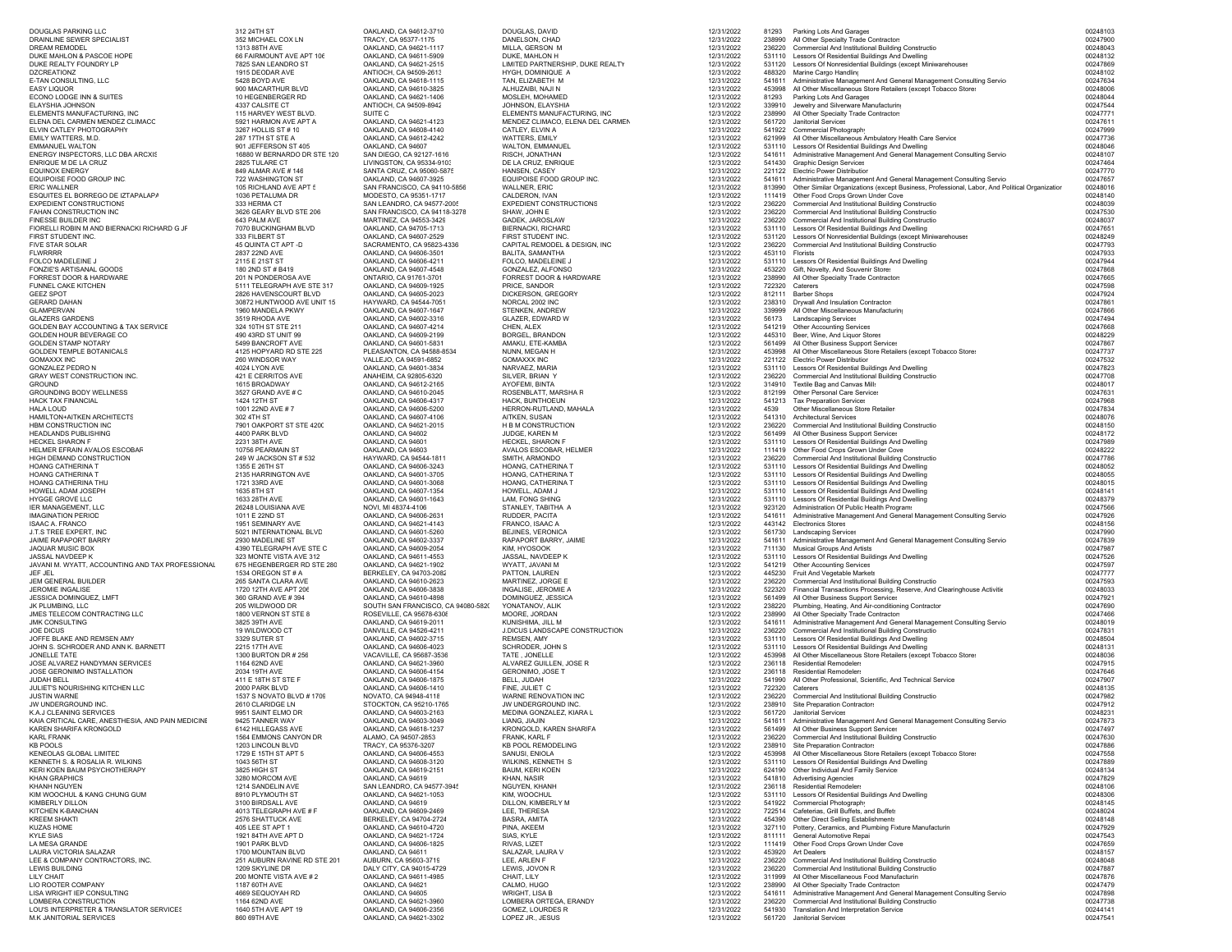| DOUGLAS PARKING LLC                                             | 312 24TH ST                                         | OAKLAND, CA 94612-3710                                         | DOUGLAS, DAVID                                        | 12/31/2022               | 81293            |                                                                                                                                           | 00248103             |
|-----------------------------------------------------------------|-----------------------------------------------------|----------------------------------------------------------------|-------------------------------------------------------|--------------------------|------------------|-------------------------------------------------------------------------------------------------------------------------------------------|----------------------|
| DRAINLINE SEWER SPECIALIST                                      | 352 MICHAEL COX LN                                  | TRACY, CA 95377-1175                                           | DANELSON, CHAD                                        | 12/31/2022               | 238990           | Parking Lots And Garages<br>All Other Specialty Trade Contractors                                                                         | 00247900             |
| DREAM REMODEL                                                   | 1313 88TH AVE                                       | OAKLAND, CA 94621-1117                                         | MILLA, GERSON M                                       | 12/31/2022               | 236220           | Commercial And Institutional Building Constructio                                                                                         | 00248043             |
| DUKE MAHLON & PASCOE HOPE                                       | 66 FAIRMOUNT AVE APT 106                            | OAKLAND, CA 94611-5909                                         | DUKE, MAHLON H                                        | 12/31/2022               | 531110           | Lessors Of Residential Buildings And Dwelling                                                                                             | 00248132             |
| DUKE REALTY FOUNDRY LP<br><b>DZCREATIONZ</b>                    | 7825 SAN LEANDRO ST<br>1915 DEODAR AVE              | OAKLAND, CA 94621-2515<br>ANTIOCH, CA 94509-2613               | LIMITED PARTNERSHIP, DUKE REALTY<br>HYGH, DOMINIQUE A | 12/31/2022<br>12/31/2022 | 531120<br>488320 | Lessors Of Nonresidential Buildings (except Miniwarehouses<br>Marine Cargo Handling                                                       | 00247869<br>00248102 |
| E-TAN CONSULTING, LLC                                           | 5428 BOYD AVE                                       | OAKLAND, CA 94618-1115                                         | TAN, ELIZABETH M                                      | 12/31/2022               | 541611           | Administrative Management And General Management Consulting Service                                                                       | 00247634             |
| <b>EASY LIQUOR</b>                                              | 900 MACARTHUR BLVD                                  | OAKLAND, CA 94610-3825                                         | ALHUZAIBI, NAJI N                                     | 12/31/2022               | 453998           | All Other Miscellaneous Store Retailers (except Tobacco Store:                                                                            | 00248006             |
| ECONO LODGE INN & SUITES                                        | 10 HEGENBERGER RD                                   | OAKLAND, CA 94621-1406                                         | MOSLEH, MOHAMED                                       | 12/31/2022               | 81293            | Parking Lots And Garages                                                                                                                  | 00248044             |
| ELAYSHIA JOHNSON<br>ELEMENTS MANUFACTURING, INC                 | 4337 CALSITE CT<br>115 HARVEY WEST BLVD.            | ANTIOCH, CA 94509-8942<br>SUITE C                              | JOHNSON, ELAYSHIA<br>ELEMENTS MANUFACTURING, INC      | 12/31/2022<br>12/31/2022 | 339910<br>238990 | Jewelry and Silverware Manufacturing<br>All Other Specialty Trade Contractors                                                             | 00247544<br>00247771 |
| ELENA DEL CARMEN MENDEZ CLIMACC                                 | 5921 HARMON AVE APT A                               | OAKLAND, CA 94621-4123                                         | MENDEZ CLIMACO, ELENA DEL CARMEN                      | 12/31/2022               | 561720           | Janitorial Services                                                                                                                       | 0024761              |
| ELVIN CATLEY PHOTOGRAPHY                                        | 3267 HOLLIS ST # 10                                 | OAKLAND, CA 94608-4140                                         | CATLEY, ELVIN A                                       | 12/31/2022               |                  | 541922 Commercial Photography                                                                                                             | 00247999             |
| EMILY WATTERS, M.D.                                             | 287 17TH ST STE A                                   | OAKLAND, CA 94612-4242                                         | WATTERS, EMILY                                        | 12/31/2022               | 621999           | All Other Miscellaneous Ambulatory Health Care Service                                                                                    | 00247736             |
| <b>EMMANUEL WALTON</b>                                          | 901 JEFFERSON ST 405<br>16880 W BERNARDO DR STE 120 | OAKLAND, CA 94607                                              | WALTON, EMMANUEL                                      | 12/31/2022               | 531110<br>541611 | Lessors Of Residential Buildings And Dwelling                                                                                             | 00248046<br>00248107 |
| ENERGY INSPECTORS, LLC DBA ARCXIS<br>ENRIQUE M DE LA CRUZ       | 2825 TULARE CT                                      | SAN DIEGO, CA 92127-1616<br>LIVINGSTON, CA 95334-9103          | RISCH, JONATHAN<br>DE LA CRUZ, ENRIQUE                | 12/31/2022<br>12/31/2022 |                  | Administrative Management And General Management Consulting Service<br>541430 Graphic Design Services                                     | 00247464             |
| <b>EQUINOX ENERGY</b>                                           | 849 ALMAR AVE #146                                  | SANTA CRUZ, CA 95060-5875                                      | HANSEN, CASEY                                         | 12/31/2022               |                  | 221122 Electric Power Distribution                                                                                                        | 00247770             |
| EQUIPOISE FOOD GROUP INC.                                       | 722 WASHINGTON ST                                   | OAKLAND, CA 94607-3925                                         | EQUIPOISE FOOD GROUP INC.                             | 12/31/2022               | 541611           | Administrative Management And General Management Consulting Service                                                                       | 00247657             |
| <b>ERIC WALLNER</b><br>ESQUITES EL BORREGO DE IZTAPALAPA        | 105 RICHLAND AVE APT 5<br>1036 PETALUMA DR          | SAN FRANCISCO, CA 94110-5856<br>MODESTO, CA 95351-1717         | WALLNER, ERIC<br>CALDERON, IVAN                       | 12/31/2022<br>12/31/2022 | 813990           | Other Similar Organizations (except Business, Professional, Labor, And Political Organization<br>111419 Other Food Crops Grown Under Cove | 00248016<br>00248140 |
| <b>EXPEDIENT CONSTRUCTIONS</b>                                  | 333 HERMA CT                                        | SAN LEANDRO, CA 94577-2005                                     | <b>EXPEDIENT CONSTRUCTIONS</b>                        | 12/31/2022               | 236220           | Commercial And Institutional Building Constructio                                                                                         | 00248039             |
| FAHAN CONSTRUCTION INC                                          | 3626 GEARY BLVD STE 206                             | SAN FRANCISCO, CA 94118-3278                                   | SHAW, JOHN E                                          | 12/31/2022               | 236220           | Commercial And Institutional Building Constructio                                                                                         | 00247530             |
| FINESSE BUILDER INC                                             | 643 PALM AVE                                        | MARTINEZ, CA 94553-3429                                        | GADEK, JAROSLAW                                       | 12/31/2022               | 236220           | Commercial And Institutional Building Constructio                                                                                         | 00248037             |
| FIORELLI ROBIN M AND BIERNACKI RICHARD G JF                     | 7070 BUCKINGHAM BLVD                                | OAKLAND, CA 94705-1713<br>OAKLAND, CA 94607-2529               | BIERNACKI, RICHARD                                    | 12/31/2022               | 531110           | Lessors Of Residential Buildings And Dwelling<br>Lessors Of Nonresidential Buildings (except Miniwarehouses                               | 0024765              |
| FIRST STUDENT INC.<br>FIVE STAR SOLAR                           | 333 FILBERT ST<br>45 QUINTA CT APT -D               | SACRAMENTO, CA 95823-4336                                      | FIRST STUDENT INC.<br>CAPITAL REMODEL & DESIGN, INC   | 12/31/2022<br>12/31/2022 | 531120<br>236220 | Commercial And Institutional Building Constructio                                                                                         | 00248249<br>00247793 |
| <b>FLWRRRR</b>                                                  | 2837 22ND AVE                                       | OAKLAND, CA 94606-3501                                         | BALITA, SAMANTHA                                      | 12/31/2022               | 453110           | Florists                                                                                                                                  | 00247933             |
| FOLCO MADELEINE J                                               | 2115 E 21ST ST                                      | OAKLAND, CA 94606-4211                                         | FOLCO, MADELEINE J                                    | 12/31/2022               | 531110           | Lessors Of Residential Buildings And Dwelling                                                                                             | 00247944             |
| FONZIE'S ARTISANAL GOODS                                        | 180 2ND ST # B419                                   | OAKLAND, CA 94607-4548                                         | GONZALEZ, ALFONSO                                     | 12/31/2022               | 453220<br>238990 | Gift, Novelty, And Souvenir Stores                                                                                                        | 00247868<br>00247665 |
| FORREST DOOR & HARDWARE<br>FUNNEL CAKE KITCHEN                  | 201 N PONDEROSA AVE<br>5111 TELEGRAPH AVE STE 317   | ONTARIO, CA 91761-3701<br>OAKLAND, CA 94609-1925               | FORREST DOOR & HARDWARE<br>PRICE, SANDOR              | 12/31/2022<br>12/31/2022 | 722320           | All Other Specialty Trade Contractors<br>Caterers                                                                                         | 00247598             |
| <b>GEEZ SPOT</b>                                                | 2826 HAVENSCOURT BLVD                               | OAKLAND, CA 94605-2023                                         | DICKERSON, GREGORY                                    | 12/31/2022               | 812111           | <b>Barber Shops</b>                                                                                                                       | 00247924             |
| <b>GERARD DAHAN</b>                                             | 30872 HUNTWOOD AVE UNIT 15                          | HAYWARD, CA 94544-7051                                         | NORCAL 2002 INC                                       | 12/31/2022               | 238310           | Drywall And Insulation Contractors                                                                                                        | 00247861             |
| GLAMPERVAN                                                      | 1960 MANDELA PKWY                                   | OAKLAND, CA 94607-1647                                         | STENKEN, ANDREW                                       | 12/31/2022               | 339999           | All Other Miscellaneous Manufacturing                                                                                                     | 00247866             |
| <b>GLAZERS GARDENS</b><br>GOLDEN BAY ACCOUNTING & TAX SERVICE   | 3519 RHODA AVE<br>324 10TH ST STE 211               | OAKLAND, CA 94602-3316<br>OAKLAND, CA 94607-4214               | GLAZER, EDWARD W<br>CHEN, ALEX                        | 12/31/2022<br>12/31/2022 | 56173<br>541219  | <b>Landscaping Services</b><br><b>Other Accounting Services</b>                                                                           | 00247494<br>00247668 |
| GOLDEN HOUR BEVERAGE CO                                         | 490 43RD ST UNIT 99                                 | OAKLAND, CA 94609-2199                                         | BORGEL, BRANDON                                       | 12/31/2022               |                  | 445310 Beer, Wine, And Liquor Stores                                                                                                      | 00248229             |
| <b>GOLDEN STAMP NOTARY</b>                                      | 5499 BANCROFT AVE                                   | OAKLAND, CA 94601-5831                                         | AMAKU, ETE-KAMBA                                      | 12/31/2022               | 561499           | All Other Business Support Services                                                                                                       | 00247867             |
| <b>GOLDEN TEMPLE BOTANICALS</b>                                 | 4125 HOPYARD RD STE 225                             | PLEASANTON, CA 94588-8534                                      | NUNN, MEGAN H                                         | 12/31/2022               | 453998           | All Other Miscellaneous Store Retailers (except Tobacco Store:                                                                            | 00247737             |
| <b>GOMAXXX INC</b><br><b>GONZALEZ PEDRO N</b>                   | 260 WINDSOR WAY<br>4024 LYON AVE                    | VALLEJO, CA 94591-6852<br>OAKLAND, CA 94601-3834               | <b>GOMAXXX INC</b><br>NARVAEZ, MARIA                  | 12/31/2022<br>12/31/2022 | 221122           | <b>Electric Power Distribution</b><br>531110 Lessors Of Residential Buildings And Dwelling                                                | 00247532<br>00247823 |
| GRAY WEST CONSTRUCTION INC.                                     | 421 E CERRITOS AVE                                  | ANAHEIM, CA 92805-6320                                         | SILVER, BRIAN Y                                       | 12/31/2022               | 236220           | Commercial And Institutional Building Constructio                                                                                         | 00247708             |
| <b>GROUND</b>                                                   | 1615 BROADWAY                                       | OAKLAND, CA 94612-2165                                         | AYOFEMI, BINTA                                        | 12/31/2022               | 314910           | Textile Bag and Canvas Mill:                                                                                                              | 00248017             |
| GROUNDING BODY WELLNESS                                         | 3527 GRAND AVE # C                                  | OAKLAND, CA 94610-2045                                         | ROSENBLATT, MARSHA R                                  | 12/31/2022               | 812199           | Other Personal Care Services                                                                                                              | 0024763              |
| HACK TAX FINANCIAL<br>HALA LOUD                                 | 1424 12TH ST<br>1001 22ND AVE #7                    | OAKLAND, CA 94606-4317<br>OAKLAND, CA 94606-5200               | HACK, BUNTHOEUN<br>HERRON-RUTLAND, MAHALA             | 12/31/2022<br>12/31/2022 | 4539             | 541213 Tax Preparation Services<br>Other Miscellaneous Store Retailer                                                                     | 00247968<br>00247834 |
| HAMILTON+AITKEN ARCHITECTS                                      | 302 4TH ST                                          | OAKLAND, CA 94607-4106                                         | AITKEN, SUSAN                                         | 12/31/2022               | 541310           | <b>Architectural Services</b>                                                                                                             | 00248076             |
| HBM CONSTRUCTION INC                                            | 7901 OAKPORT ST STE 4200                            | OAKLAND, CA 94621-2015                                         | H B M CONSTRUCTION                                    | 12/31/2022               | 236220           | Commercial And Institutional Building Constructio                                                                                         | 00248150             |
| HEADLANDS PUBLISHING                                            | 4400 PARK BLVD                                      | OAKLAND, CA 94602                                              | JUDGE, KAREN M                                        | 12/31/2022               | 561499           | All Other Business Support Services                                                                                                       | 00248172             |
| HECKEL SHARON F<br>HELMER EFRAIN AVALOS ESCOBAR                 | 2231 38TH AVE<br>10756 PEARMAIN ST                  | OAKLAND, CA 94601<br>OAKLAND, CA 94603                         | HECKEL, SHARON F<br>AVALOS ESCOBAR. HELMER            | 12/31/2022<br>12/31/2022 | 531110<br>111419 | Lessors Of Residential Buildings And Dwelling<br>Other Food Crops Grown Under Cove                                                        | 00247989<br>00248222 |
| HIGH DEMAND CONSTRUCTION                                        | 249 W JACKSON ST # 532                              | HAYWARD, CA 94544-1811                                         | SMITH, ARMONDO                                        | 12/31/2022               | 236220           | Commercial And Institutional Building Constructio                                                                                         | 00247786             |
| HOANG CATHERINA T                                               | 1355 E 26TH ST                                      | OAKLAND, CA 94606-3243                                         | HOANG, CATHERINA 1                                    | 12/31/2022               | 531110           | Lessors Of Residential Buildings And Dwelling                                                                                             | 00248052             |
| HOANG CATHERINA T                                               | 2135 HARRINGTON AVE                                 | OAKLAND, CA 94601-3705                                         | HOANG, CATHERINA T                                    | 12/31/2022               |                  | 531110 Lessors Of Residential Buildings And Dwelling                                                                                      | 00248055             |
| HOANG CATHERINA THU<br>HOWELL ADAM JOSEPH                       | 1721 33RD AVE<br>1635 8TH ST                        | OAKLAND, CA 94601-3068<br>OAKLAND, CA 94607-1354               | HOANG, CATHERINA T<br>HOWELL, ADAM J                  | 12/31/2022<br>12/31/2022 |                  | 531110 Lessors Of Residential Buildings And Dwelling<br>531110 Lessors Of Residential Buildings And Dwelling                              | 00248015<br>0024814  |
| HYGGE GROVE LLC                                                 | 1633 28TH AVE                                       | OAKLAND, CA 94601-1643                                         | LAM, FONG SHING                                       | 12/31/2022               |                  | 531110 Lessors Of Residential Buildings And Dwelling                                                                                      | 00248379             |
| IER MANAGEMENT, LLC                                             | 26248 LOUISIANA AVE                                 | NOVI, MI 48374-4106                                            | STANLEY, TABITHA A                                    | 12/31/2022               |                  | 923120 Administration Of Public Health Programs                                                                                           | 00247566             |
| <b>IMAGINATION PERIOD</b>                                       | 1011 E 22ND ST                                      | OAKLAND, CA 94606-2631                                         | RUDDER, PACITA                                        | 12/31/2022               |                  | 541611 Administrative Management And General Management Consulting Service                                                                | 00247926             |
| <b>ISAAC A. FRANCO</b><br>J.T.S TREE EXPERT, INC                | 1951 SEMINARY AVE<br>5021 INTERNATIONAL BLVD        | OAKLAND, CA 94621-4143<br>OAKLAND, CA 94601-5260               | FRANCO, ISAAC A<br>BEJINES, VERONICA                  | 12/31/2022<br>12/31/2022 | 561730           | 443142 Electronics Stores<br><b>Landscaping Services</b>                                                                                  | 00248156<br>00247990 |
| JAIME RAPAPORT BARRY                                            | 2930 MADELINE ST                                    | OAKLAND, CA 94602-3337                                         | RAPAPORT BARRY, JAIME                                 | 12/31/2022               | 541611           | Administrative Management And General Management Consulting Service                                                                       | 00247839             |
| JAQUAR MUSIC BOX                                                | 4390 TELEGRAPH AVE STE C                            | OAKLAND, CA 94609-2054                                         | KIM, HYOSOOK                                          | 12/31/2022               | 711130           | <b>Musical Groups And Artists</b>                                                                                                         | 00247987             |
| JASSAL NAVDEEP K                                                | 323 MONTE VISTA AVE 312                             | OAKLAND, CA 94611-4553                                         | JASSAL, NAVDEEP K                                     | 12/31/2022               |                  | 531110 Lessors Of Residential Buildings And Dwelling                                                                                      | 00247526             |
| JAVANI M. WYATT, ACCOUNTING AND TAX PROFESSIONAL<br>JEF JEL     | 675 HEGENBERGER RD STE 280<br>1534 OREGON ST # A    | OAKLAND, CA 94621-1902<br>BERKELEY, CA 94703-2082              | WYATT, JAVANI M<br>PATTON, LAUREN                     | 12/31/2022<br>12/31/2022 | 541219           | <b>Other Accounting Services</b><br>445230 Fruit And Vegetable Markets                                                                    | 00247597<br>00247777 |
| JEM GENERAL BUILDER                                             | 265 SANTA CLARA AVE                                 | OAKLAND, CA 94610-2623                                         | MARTINEZ, JORGE E                                     | 12/31/2022               | 236220           | Commercial And Institutional Building Constructio                                                                                         | 00247593             |
| JEROMIE INGALISE                                                | 1720 12TH AVE APT 206                               | OAKLAND, CA 94606-3838                                         | INGALISE, JEROMIE A                                   | 12/31/2022               | 522320           | Financial Transactions Processing, Reserve, And Clearinghouse Activitie                                                                   | 00248033             |
| JESSICA DOMINGUEZ, LMFT                                         | 360 GRAND AVE #394                                  | OAKLAND, CA 94610-4898                                         | DOMINGUEZ, JESSICA                                    | 12/31/2022               | 561499           | All Other Business Support Services                                                                                                       | 0024792              |
| JK PLUMBING, LLC<br>JMES TELECOM CONTRACTING LLC                | 205 WILDWOOD DR<br>1800 VERNON ST STE 8             | SOUTH SAN FRANCISCO, CA 94080-5820<br>ROSEVILLE, CA 95678-6308 | YONATANOV, ALIK<br>MOORE, JORDAN                      | 12/31/2022<br>12/31/2022 | 238990           | 238220 Plumbing, Heating, And Air-conditioning Contractor<br>All Other Specialty Trade Contractors                                        | 00247690<br>00247466 |
| <b>JMK CONSULTING</b>                                           | 3825 39TH AVE                                       | OAKLAND, CA 94619-2011                                         | KUNISHIMA, JILL M                                     | 12/31/2022               | 541611           | Administrative Management And General Management Consulting Service                                                                       | 00248019             |
| <b>JOE DICUS</b>                                                | 19 WILDWOOD CT                                      | DANVILLE, CA 94526-4211                                        | J.DICUS LANDSCAPE CONSTRUCTION                        | 12/31/2022               | 236220           | Commercial And Institutional Building Constructio                                                                                         | 0024783              |
| JOFFE BLAKE AND REMSEN AMY                                      | 3329 SUTER ST                                       | OAKLAND, CA 94602-3715                                         | REMSEN, AMY                                           | 12/31/2022               | 531110           | Lessors Of Residential Buildings And Dwelling                                                                                             | 00248504             |
| JOHN S. SCHRODER AND ANN K. BARNETT<br>JONELLE TATE             | 2215 17TH AVE<br>1300 BURTON DR # 256               | OAKLAND, CA 94606-4023<br>VACAVILLE, CA 95687-3536             | SCHRODER, JOHN S<br>TATE, JONELLE                     | 12/31/2022<br>12/31/2022 | 531110<br>453998 | Lessors Of Residential Buildings And Dwelling<br>All Other Miscellaneous Store Retailers (except Tobacco Store:                           | 0024813<br>00248036  |
| JOSE ALVAREZ HANDYMAN SERVICES                                  | 1164 62ND AVE                                       | OAKLAND, CA 94621-3960                                         | ALVAREZ GUILLEN, JOSE R                               | 12/31/2022               | 236118           | <b>Residential Remodelers</b>                                                                                                             | 00247915             |
| JOSE GERONIMO INSTALLATION                                      | 2034 19TH AVE                                       | OAKLAND, CA 94606-4154                                         | GERONIMO, JOSE T                                      | 12/31/2022               |                  | 236118 Residential Remodelers                                                                                                             | 00247646             |
| JUDAH BELL<br>JULIET'S NOURISHING KITCHEN LLC                   | 411 E 18TH ST STE F<br>2000 PARK BLVD               | OAKLAND, CA 94606-1875<br>OAKLAND, CA 94606-1410               | BELL, JUDAH<br>FINE, JULIET C                         | 12/31/2022<br>12/31/2022 | 722320           | 541990 All Other Professional, Scientific, And Technical Service<br>Caterers                                                              | 00247907<br>00248135 |
| JUSTIN WARNE                                                    | 1537 S NOVATO BLVD # 1709                           | NOVATO, CA 94948-4118                                          | WARNE RENOVATION INC                                  | 12/31/2022               | 236220           | Commercial And Institutional Building Constructio                                                                                         | 00247982             |
| JW UNDERGROUND INC.                                             | 2610 CLARIDGE LN                                    | STOCKTON, CA 95210-1765                                        | JW UNDERGROUND INC.                                   | 12/31/2022               |                  | 238910 Site Preparation Contractors                                                                                                       | 00247912             |
| K.A.J CLEANING SERVICES                                         | 9951 SAINT ELMO DR                                  | OAKLAND, CA 94603-2163                                         | MEDINA GONZALEZ. KIARA L                              | 12/31/2022               |                  | 561720 Janitorial Services                                                                                                                | 00248231             |
| KAIA CRITICAL CARE, ANESTHESIA, AND PAIN MEDICINE               | 9425 TANNER WAY                                     | OAKLAND, CA 94603-3049<br>OAKLAND, CA 94618-1237               | LIANG, JIAJIN<br>KRONGOLD, KAREN SHARIFA              | 12/31/2022               |                  | 541611 Administrative Management And General Management Consulting Service                                                                | 00247873             |
| KAREN SHARIFA KRONGOLD<br><b>KARL FRANK</b>                     | 6142 HILLEGASS AVE<br>1564 EMMONS CANYON DR         | ALAMO, CA 94507-2853                                           | FRANK, KARL F                                         | 12/31/2022<br>12/31/2022 |                  | 561499 All Other Business Support Services<br>236220 Commercial And Institutional Building Constructio                                    | 00247497<br>00247630 |
| <b>KB POOLS</b>                                                 | 1203 LINCOLN BLVD                                   | TRACY, CA 95376-3207                                           | KB POOL REMODELING                                    | 12/31/2022               |                  | 238910 Site Preparation Contractors                                                                                                       | 00247886             |
| KENEOLAS GLOBAL LIMITED                                         | 1729 E 15TH ST APT 5                                | OAKLAND, CA 94606-4553                                         | SANUSI, ENIOLA                                        | 12/31/2022               |                  | 453998 All Other Miscellaneous Store Retailers (except Tobacco Store:                                                                     | 00247558             |
| KENNETH S. & ROSALIA R. WILKINS<br>KERI KOEN BAUM PSYCHOTHERAPY | 1043 56TH ST<br>3825 HIGH ST                        | OAKLAND, CA 94608-3120<br>OAKLAND, CA 94619-2151               | WILKINS, KENNETH S<br><b>BAUM, KERI KOEN</b>          | 12/31/2022<br>12/31/2022 |                  | 531110 Lessors Of Residential Buildings And Dwelling<br>624190 Other Individual And Family Service                                        | 00247889<br>00248134 |
| <b>KHAN GRAPHICS</b>                                            | 3280 MORCOM AVE                                     | OAKLAND, CA 94619                                              | KHAN, NASIR                                           | 12/31/2022               |                  | 541810 Advertising Agencies                                                                                                               | 00247829             |
| KHANH NGUYEN                                                    | 1214 SANDELIN AVE                                   | SAN LEANDRO, CA 94577-3945                                     | NGUYEN, KHANH                                         | 12/31/2022               |                  | 236118 Residential Remodelers                                                                                                             | 00248106             |
| KIM WOOCHUL & KANG CHUNG GUM                                    | 8910 PLYMOUTH ST                                    | OAKLAND, CA 94621-1053                                         | KIM, WOOCHUL                                          | 12/31/2022               |                  | 531110 Lessors Of Residential Buildings And Dwelling                                                                                      | 00248306             |
| KIMBERLY DILLON<br>KITCHEN K-BANCHAN                            | 3100 BIRDSALL AVE<br>4013 TELEGRAPH AVE # F         | OAKLAND, CA 94619<br>OAKLAND, CA 94609-2469                    | DILLON, KIMBERLY M<br>LEE, THERESA                    | 12/31/2022<br>12/31/2022 |                  | 541922 Commercial Photography<br>722514 Cafeterias, Grill Buffets, and Buffets                                                            | 00248145<br>00248024 |
| <b>KREEM SHAKTI</b>                                             | 2576 SHATTUCK AVE                                   | BERKELEY, CA 94704-2724                                        | BASRA, AMITA                                          | 12/31/2022               |                  | 454390 Other Direct Selling Establishments                                                                                                | 00248148             |
| <b>KUZAS HOME</b>                                               | 405 LEE ST APT 1                                    | OAKLAND, CA 94610-4720                                         | PINA, AKEEM                                           | 12/31/2022               |                  | 327110 Pottery, Ceramics, and Plumbing Fixture Manufacturin                                                                               | 00247929             |
| <b>KYLE SIAS</b>                                                | 1921 84TH AVE APT D                                 | OAKLAND, CA 94621-1724                                         | SIAS, KYLE                                            | 12/31/2022               |                  | 811111 General Automotive Repai                                                                                                           | 00247543             |
| LA MESA GRANDE<br>LAURA VICTORIA SALAZAR                        | 1901 PARK BLVD<br>1700 MOUNTAIN BLVD                | OAKLAND, CA 94606-1825<br>OAKLAND, CA 94611                    | RIVAS, LIZET<br>SALAZAR, LAURA V                      | 12/31/2022<br>12/31/2022 |                  | 111419 Other Food Crops Grown Under Cove<br>453920 Art Dealers                                                                            | 00247659<br>00248157 |
| LEE & COMPANY CONTRACTORS. INC.                                 | 251 AUBURN RAVINE RD STE 201                        | AUBURN, CA 95603-3719                                          | LEE, ARLEN F                                          | 12/31/2022               |                  | 236220 Commercial And Institutional Building Constructio                                                                                  | 00248048             |
| LEWIS BUILDING                                                  | 1209 SKYLINE DR                                     | DALY CITY, CA 94015-4729                                       | LEWIS, JOVON R                                        | 12/31/2022               | 236220           | Commercial And Institutional Building Constructio                                                                                         | 00247887             |
| LILY CHAIT<br>LIO ROOTER COMPANY                                | 200 MONTE VISTA AVE # 2<br>1187 60TH AVE            | OAKLAND, CA 94611-4985<br>OAKLAND, CA 94621                    | CHAIT, LILY<br>CALMO, HUGO                            | 12/31/2022<br>12/31/2022 |                  | 311999 All Other Miscellaneous Food Manufacturin<br>238990 All Other Specialty Trade Contractors                                          | 00247876<br>00247479 |
| <b>I ISA WRIGHT IFP CONSULTING</b>                              | 4669 SEQUOYAH RD                                    | OAKLAND, CA 94605                                              | WRIGHT, LISA B                                        | 12/31/2022               |                  | 541611 Administrative Management And General Management Consulting Service                                                                | 00247898             |
| LOMBERA CONSTRUCTION                                            | 1164 62ND AVE                                       | OAKLAND, CA 94621-3960                                         | LOMBERA ORTEGA, ERANDY                                | 12/31/2022               | 236220           | Commercial And Institutional Building Constructio                                                                                         | 00247738             |
| LOU'S INTERPRETER & TRANSLATOR SERVICES                         | 1640 5TH AVE APT 19                                 | OAKLAND, CA 94606-2356                                         | GOMEZ, LOURDES R                                      | 12/31/2022               |                  | 541930 Translation And Interpretation Service                                                                                             | 00244141             |
| M.K JANITORIAL SERVICES                                         | 860 69TH AVE                                        | OAKLAND, CA 94621-3302                                         | LOPEZ JR., JESUS                                      | 12/31/2022               |                  | 561720 Janitorial Services                                                                                                                | 00247541             |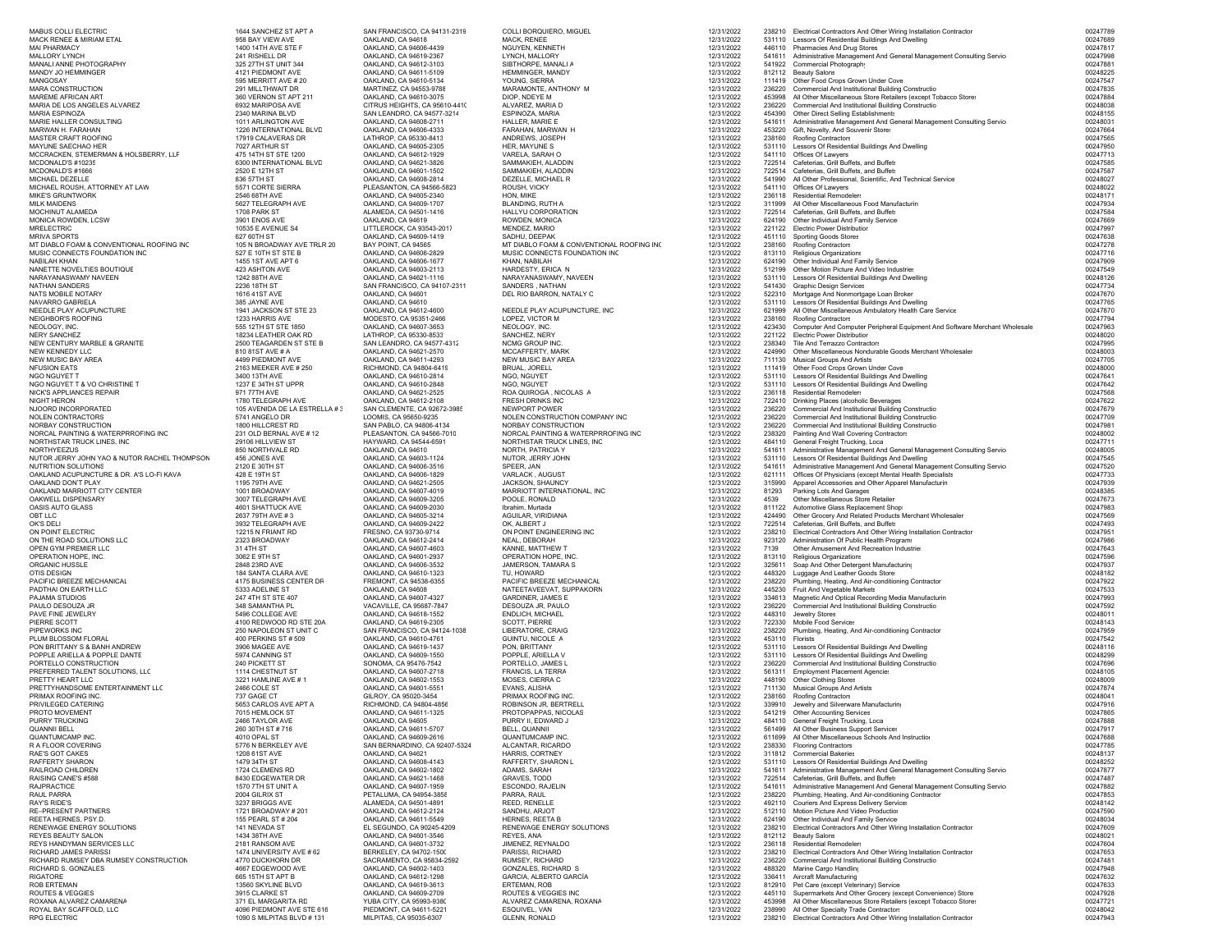| MABUS COLLI ELECTRIC                                                       | 1644 SANCHEZ ST APT A                             | SAN FRANCISCO, CA 94131-2319                          | COLLI BORQUIERO, MIGUEL                                                    | 12/31/2022               |                  | 238210 Electrical Contractors And Other Wiring Installation Contractor                                                             | 00247789             |
|----------------------------------------------------------------------------|---------------------------------------------------|-------------------------------------------------------|----------------------------------------------------------------------------|--------------------------|------------------|------------------------------------------------------------------------------------------------------------------------------------|----------------------|
| MACK RENEE & MIRIAM ETAL<br>MAI PHARMACY                                   | 958 BAY VIEW AVE<br>1400 14TH AVE STE F           | OAKLAND, CA 94618<br>OAKLAND, CA 94606-4439           | MACK, RENEE<br>NGUYEN, KENNETH                                             | 12/31/2022<br>12/31/2022 |                  | 531110 Lessors Of Residential Buildings And Dwelling<br>446110 Pharmacies And Drug Stores                                          | 00247689<br>00247817 |
| MALLORY LYNCH                                                              | 241 RISHELL DR                                    | OAKLAND, CA 94619-2367                                | LYNCH, MALLORY                                                             | 12/31/2022               |                  | 541611 Administrative Management And General Management Consulting Service                                                         | 00247998             |
| MANALI ANNE PHOTOGRAPHY                                                    | 325 27TH ST UNIT 344                              | OAKLAND, CA 94612-3103                                | SIBTHORPE, MANALI A                                                        | 12/31/2022               |                  | 541922 Commercial Photography                                                                                                      | 0024788              |
| MANDY JO HEMMINGER<br>MANGOSAY                                             | 4121 PIEDMONT AVE<br>595 MERRITT AVE # 20         | OAKLAND, CA 94611-5109<br>OAKLAND, CA 94610-5134      | HEMMINGER, MANDY<br>YOUNG, SIERRA                                          | 12/31/2022<br>12/31/2022 |                  | 812112 Beauty Salons<br>111419 Other Food Crops Grown Under Cove                                                                   | 00248225<br>00247547 |
| <b>MARA CONSTRUCTION</b>                                                   | 291 MILLTHWAIT DR                                 | MARTINEZ, CA 94553-9788                               | MARAMONTE, ANTHONY M                                                       | 12/31/2022               |                  | 236220 Commercial And Institutional Building Constructio                                                                           | 00247835             |
| MAREME AFRICAN ART                                                         | 360 VERNON ST APT 211                             | OAKLAND, CA 94610-3075                                | DIOP, NDEYE M                                                              | 12/31/2022               |                  | 453998 All Other Miscellaneous Store Retailers (except Tobacco Store:                                                              | 00247884             |
| MARIA DE LOS ANGELES ALVAREZ<br><b>MARIA ESPINOZA</b>                      | 6932 MARIPOSA AVE                                 | CITRUS HEIGHTS, CA 95610-4410                         | ALVAREZ, MARIA D<br>ESPINOZA, MARIA                                        | 12/31/2022               |                  | 236220 Commercial And Institutional Building Constructio                                                                           | 00248038<br>00248155 |
| MARIE HALLER CONSULTING                                                    | 2340 MARINA BLVD<br>1011 ARLINGTON AVE            | SAN LEANDRO, CA 94577-3214<br>OAKLAND, CA 94608-2711  | HALLER, MARIE E                                                            | 12/31/2022<br>12/31/2022 |                  | 454390 Other Direct Selling Establishments<br>541611 Administrative Management And General Management Consulting Service           | 00248031             |
| MARWAN H. FARAHAN                                                          | 1226 INTERNATIONAL BLVD                           | OAKLAND, CA 94606-4333                                | FARAHAN, MARWAN H                                                          | 12/31/2022               |                  | 453220 Gift, Novelty, And Souvenir Stores                                                                                          | 00247664             |
| MASTER CRAFT ROOFING                                                       | 17919 CALAVERAS DR                                | LATHROP, CA 95330-8413                                | ANDREWS, JOSEPH                                                            | 12/31/2022               |                  | 238160 Roofing Contractors                                                                                                         | 00247565             |
| MAYUNE SAECHAO HER<br>MCCRACKEN, STEMERMAN & HOLSBERRY, LLF                | 7027 ARTHUR ST<br>475 14TH ST STE 1200            | OAKLAND, CA 94605-2305<br>OAKLAND, CA 94612-1929      | HER, MAYUNE S<br>VARELA, SARAH O                                           | 12/31/2022<br>12/31/2022 |                  | 531110 Lessors Of Residential Buildings And Dwelling<br>541110 Offices Of Lawyers                                                  | 00247950<br>00247713 |
| MCDONALD'S #10235                                                          | 6300 INTERNATIONAL BLVD                           | OAKLAND, CA 94621-3826                                | SAMMAKIEH, ALADDIN                                                         | 12/31/2022               |                  | 722514 Cafeterias, Grill Buffets, and Buffets                                                                                      | 00247585             |
| MCDONALD'S #1666                                                           | 2520 E 12TH ST                                    | OAKLAND, CA 94601-1502                                | SAMMAKIEH, ALADDIN                                                         | 12/31/2022               |                  | 722514 Cafeterias, Grill Buffets, and Buffets                                                                                      | 00247587             |
| MICHAEL DEZELLE<br>MICHAEL ROUSH, ATTORNEY AT LAW                          | 836 57TH ST<br>5571 CORTE SIERRA                  | OAKLAND, CA 94608-2814<br>PLEASANTON, CA 94566-5823   | DEZELLE, MICHAEL R<br>ROUSH, VICKY                                         | 12/31/2022<br>12/31/2022 |                  | 541990 All Other Professional, Scientific, And Technical Service<br>541110 Offices Of Lawvers                                      | 00248027<br>00248022 |
| MIKE'S GRUNTWORK                                                           | 2546 68TH AVE                                     | OAKLAND, CA 94605-2340                                | HON, MIKE                                                                  | 12/31/2022               |                  | 236118 Residential Remodelers                                                                                                      | 0024817              |
| MILK MAIDENS                                                               | 5627 TELEGRAPH AVE                                | OAKLAND, CA 94609-1707                                | BLANDING, RUTH A                                                           | 12/31/2022               |                  | 311999 All Other Miscellaneous Food Manufacturin                                                                                   | 00247934             |
| MOCHINUT ALAMEDA<br>MONICA ROWDEN, LCSW                                    | 1708 PARK ST<br>3901 ENOS AVE                     | ALAMEDA, CA 94501-1416<br>OAKLAND, CA 94619           | HALLYU CORPORATION<br>ROWDEN, MONICA                                       | 12/31/2022<br>12/31/2022 |                  | 722514 Cafeterias, Grill Buffets, and Buffets<br>624190 Other Individual And Family Service                                        | 00247584<br>00247669 |
| MRELECTRIC                                                                 | 10535 E AVENUE S4                                 | LITTLEROCK. CA 93543-2017                             | MENDEZ, MARIO                                                              | 12/31/2022               |                  | 221122 Electric Power Distribution                                                                                                 | 00247997             |
| MRIVA SPORTS                                                               | 627 60TH ST                                       | OAKLAND, CA 94609-1419                                | SADHU, DEEPAK                                                              | 12/31/2022               |                  | 451110 Sporting Goods Stores                                                                                                       | 00247638             |
| MT DIABLO FOAM & CONVENTIONAL ROOFING INC<br>MUSIC CONNECTS FOUNDATION INC | 105 N BROADWAY AVE TRLR 20<br>527 E 10TH ST STE B | BAY POINT, CA 94565<br>OAKLAND, CA 94606-2829         | MT DIABLO FOAM & CONVENTIONAL ROOFING INC<br>MUSIC CONNECTS FOUNDATION INC | 12/31/2022<br>12/31/2022 |                  | 238160 Roofing Contractors<br>813110 Religious Organizations                                                                       | 00247278<br>00247716 |
| NABILAH KHAN                                                               | 1455 1ST AVE APT 6                                | OAKLAND, CA 94606-1677                                | KHAN, NABILAH                                                              | 12/31/2022               |                  | 624190 Other Individual And Family Service                                                                                         | 00247909             |
| NANETTE NOVELTIES BOUTIQUE                                                 | 423 ASHTON AVE                                    | OAKLAND, CA 94603-2113                                | HARDESTY, ERICA N                                                          | 12/31/2022               |                  | 512199 Other Motion Picture And Video Industrie:                                                                                   | 00247549             |
| NARAYANASWAMY NAVEEN                                                       | 1242 88TH AVE                                     | OAKLAND, CA 94621-1116                                | NARAYANASWAMY, NAVEEN                                                      | 12/31/2022               |                  | 531110 Lessors Of Residential Buildings And Dwelling                                                                               | 00248126<br>00247734 |
| NATHAN SANDERS<br>NATS MOBILE NOTARY                                       | 2236 18TH ST<br>1616 41ST AVE                     | SAN FRANCISCO, CA 94107-2311<br>OAKLAND, CA 94601     | SANDERS, NATHAN<br>DEL RIO BARRON, NATALY C                                | 12/31/2022<br>12/31/2022 |                  | 541430 Graphic Design Services<br>522310 Mortgage And Nonmortgage Loan Broker                                                      | 00247670             |
| NAVARRO GABRIELA                                                           | 385 JAYNE AVE                                     | OAKLAND, CA 94610                                     |                                                                            | 12/31/2022               |                  | 531110 Lessors Of Residential Buildings And Dwelling                                                                               | 00247765             |
| NEEDLE PLAY ACUPUNCTURE                                                    | 1941 JACKSON ST STE 23                            | OAKLAND, CA 94612-4600                                | NEEDLE PLAY ACUPUNCTURE, INC                                               | 12/31/2022               |                  | 621999 All Other Miscellaneous Ambulatory Health Care Service                                                                      | 00247870             |
| NEIGHBOR'S ROOFING<br>NEOLOGY, INC.                                        | 1233 HARRIS AVE<br>555 12TH ST STE 1850           | MODESTO, CA 95351-2466<br>OAKLAND, CA 94607-3653      | LOPEZ, VICTOR M<br>NEOLOGY, INC.                                           | 12/31/2022<br>12/31/2022 | 238160           | Roofing Contractors<br>423430 Computer And Computer Peripheral Equipment And Software Merchant Wholesale                           | 00247794<br>00247963 |
| <b>NERY SANCHEZ</b>                                                        | 18234 LEATHER OAK RD                              | LATHROP, CA 95330-8533                                | SANCHEZ, NERY                                                              | 12/31/2022               |                  | 221122 Electric Power Distribution                                                                                                 | 00248020             |
| NEW CENTURY MARBLE & GRANITE                                               | 2500 TEAGARDEN ST STE B                           | SAN LEANDRO, CA 94577-4312                            | NCMG GROUP INC.                                                            | 12/31/2022               |                  | 238340 Tile And Terrazzo Contractors                                                                                               | 00247995             |
| NEW KENNEDY LLC<br>NEW MUSIC BAY AREA                                      | 810 81ST AVE # A<br>4499 PIEDMONT AVE             | OAKLAND, CA 94621-2570<br>OAKLAND, CA 94611-4293      | MCCAFFERTY, MARK<br>NEW MUSIC BAY AREA                                     | 12/31/2022<br>12/31/2022 | 424990           | Other Miscellaneous Nondurable Goods Merchant Wholesaler<br>711130 Musical Groups And Artists                                      | 00248003<br>00247705 |
| NFUSION EATS                                                               | 2163 MEEKER AVE # 250                             | RICHMOND, CA 94804-6419                               | BRUAL, JORELL                                                              | 12/31/2022               |                  | 111419 Other Food Crops Grown Under Cove                                                                                           | 00248000             |
| NGO NGUYET T                                                               | 3400 13TH AVE                                     | OAKLAND, CA 94610-2814                                | NGO, NGUYET                                                                | 12/31/2022               |                  | 531110 Lessors Of Residential Buildings And Dwelling                                                                               | 00247641             |
| NGO NGUYET T & VO CHRISTINE T<br>NICK'S APPLIANCES REPAIF                  | 1237 E 34TH ST UPPR                               | OAKLAND, CA 94610-2848<br>OAKLAND, CA 94621-2525      | NGO, NGUYET<br>ROA QUIROGA, NICOLAS A                                      | 12/31/2022<br>12/31/2022 |                  | 531110 Lessors Of Residential Buildings And Dwelling<br>236118 Residential Remodelers                                              | 00247642<br>00247568 |
| NIGHT HERON                                                                | 971 77TH AVE<br>1780 TELEGRAPH AVE                | OAKLAND, CA 94612-2108                                | FRESH DRINKS INC                                                           | 12/31/2022               |                  | 722410 Drinking Places (alcoholic Beverages                                                                                        | 00247622             |
| NJOORD INCORPORATED                                                        | 105 AVENIDA DE LA ESTRELLA # 3                    | SAN CLEMENTE, CA 92672-3985                           | NEWPORT POWER                                                              | 12/31/2022               |                  | 236220 Commercial And Institutional Building Constructio                                                                           | 00247679             |
| NOLEN CONTRACTORS                                                          | 5741 ANGELO DR                                    | LOOMIS, CA 95650-9235                                 | NOLEN CONSTRUCTION COMPANY INC                                             | 12/31/2022               | 236220           | Commercial And Institutional Building Constructio                                                                                  | 00247709             |
| NORBAY CONSTRUCTION<br>NORCAL PAINTING & WATERPRROFING INC                 | 1800 HILLCREST RD<br>231 OLD BERNAL AVE #12       | SAN PABLO, CA 94806-4134<br>PLEASANTON, CA 94566-7010 | NORBAY CONSTRUCTION<br>NORCAL PAINTING & WATERPRROFING INC                 | 12/31/2022<br>12/31/2022 | 236220           | Commercial And Institutional Building Constructio<br>238320 Painting And Wall Covering Contractors                                 | 0024798<br>00248002  |
| NORTHSTAR TRUCK LINES, INC                                                 | 29106 HILLVIEW ST                                 | HAYWARD, CA 94544-6591                                | NORTHSTAR TRUCK LINES, INC                                                 | 12/31/2022               |                  | 484110 General Freight Trucking, Loca                                                                                              | 00247711             |
| NORTHYEEZUS                                                                | 850 NORTHVALE RD                                  | OAKLAND, CA 94610                                     | NORTH, PATRICIA Y                                                          | 12/31/2022               |                  | 541611 Administrative Management And General Management Consulting Service                                                         | 00248005             |
| NUTOR JERRY JOHN YAO & NUTOR RACHEL THOMPSON<br>NUTRITION SOLUTIONS        | 456 JONES AVE<br>2120 E 30TH ST                   | OAKLAND, CA 94603-1124<br>OAKLAND, CA 94606-3516      | NUTOR, JERRY JOHN<br>SPEER, JAN                                            | 12/31/2022<br>12/31/2022 | 531110           | Lessors Of Residential Buildings And Dwelling<br>541611 Administrative Management And General Management Consulting Service        | 00247545<br>00247520 |
| OAKLAND ACUPUNCTURE & DR. A'S LO-FI KAVA                                   | 428 E 19TH ST                                     | OAKLAND, CA 94606-1829                                | VARLACK, AUGUST                                                            | 12/31/2022               |                  | 621111 Offices Of Physicians (except Mental Health Specialists                                                                     | 00247733             |
| OAKLAND DON'T PLAY                                                         | 1195 79TH AVE                                     | OAKLAND, CA 94621-2505                                | JACKSON, SHAUNCY                                                           | 12/31/2022               | 315990           | Apparel Accessories and Other Apparel Manufacturin                                                                                 | 00247939             |
| OAKLAND MARRIOTT CITY CENTEF                                               | 1001 BROADWAY                                     | OAKLAND, CA 94607-4019                                | MARRIOTT INTERNATIONAL, INC                                                | 12/31/2022               | 81293            | Parking Lots And Garages                                                                                                           | 00248385             |
| OAKWELL DISPENSARY<br>OASIS AUTO GLASS                                     | 3007 TELEGRAPH AVE<br>4601 SHATTUCK AVE           | OAKLAND, CA 94609-3205<br>OAKLAND, CA 94609-2030      | POOLE, RONALD<br>Ibrahim, Murtada                                          | 12/31/2022<br>12/31/2022 | 4539             | Other Miscellaneous Store Retailer:<br>811122 Automotive Glass Replacement Shop:                                                   | 00247673<br>00247983 |
| OBT LLC                                                                    | 2637 79TH AVE #3                                  | OAKLAND, CA 94605-3214                                | AGUILAR, VIRIDIANA                                                         | 12/31/2022               |                  | 424490 Other Grocery And Related Products Merchant Wholesaler                                                                      | 00247569             |
| OK'S DEL                                                                   | 3932 TELEGRAPH AVE                                | OAKLAND, CA 94609-2422                                | OK, ALBERT J                                                               | 12/31/2022               |                  | 722514 Cafeterias, Grill Buffets, and Buffets                                                                                      | 00247493             |
| ON POINT ELECTRIC<br>ON THE ROAD SOLUTIONS LLC                             | 12215 N FRIANT RD<br>2323 BROADWAY                | FRESNO, CA 93730-9714<br>OAKLAND, CA 94612-2414       | ON POINT ENGINEERING INC<br>NEAL, DEBORAH                                  | 12/31/2022<br>12/31/2022 |                  | 238210 Electrical Contractors And Other Wiring Installation Contractor<br>923120 Administration Of Public Health Programs          | 0024795<br>00247986  |
| OPEN GYM PREMIER LLC                                                       | 31 4TH ST                                         | OAKLAND, CA 94607-4603                                | KANNE, MATTHEW T                                                           | 12/31/2022               | 7139             | Other Amusement And Recreation Industries                                                                                          | 00247643             |
| OPERATION HOPE. INC.                                                       | 3062 E 9TH ST                                     | OAKLAND, CA 94601-2937                                | OPERATION HOPE, INC.                                                       | 12/31/2022               |                  | 813110 Religious Organizations                                                                                                     | 00247596             |
| ORGANIC HUSSLE<br>OTIS DESIGN                                              | 2848 23RD AVE<br>184 SANTA CLARA AVE              | OAKLAND, CA 94606-3532<br>OAKLAND, CA 94610-1323      | JAMERSON, TAMARA S<br>TU, HOWARD                                           | 12/31/2022<br>12/31/2022 | 325611<br>448320 | Soap And Other Detergent Manufacturing<br>Luggage And Leather Goods Store:                                                         | 00247937<br>00248182 |
| PACIFIC BREEZE MECHANICAL                                                  | 4175 BUSINESS CENTER DR                           | FREMONT, CA 94538-6355                                | PACIFIC BREEZE MECHANICAL                                                  | 12/31/2022               |                  | 238220 Plumbing, Heating, And Air-conditioning Contractor                                                                          | 00247922             |
| PADTHAI ON EARTH LLC                                                       | 5333 ADELINE ST                                   | OAKLAND, CA 94608                                     | NATEETAVEEVAT, SUPPAKORN                                                   | 12/31/2022               | 445230           | Fruit And Vegetable Markets                                                                                                        | 00247533             |
| PAJAMA STUDIOS                                                             | 247 4TH ST STE 407                                | OAKLAND, CA 94607-4327                                | <b>GARDINER, JAMES E</b>                                                   | 12/31/2022               |                  | 334613 Magnetic And Optical Recording Media Manufacturin                                                                           | 00247993             |
| PAULO DESOUZA JR<br>PAVE FINE JEWELRY                                      | 348 SAMANTHA PL<br>5496 COLLEGE AVE               | VACAVILLE, CA 95687-7847<br>OAKLAND, CA 94618-1552    | DESOUZA JR, PAULO<br>ENDLICH, MICHAEL                                      | 12/31/2022<br>12/31/2022 |                  | 236220 Commercial And Institutional Building Constructio<br>448310 Jewelry Stores                                                  | 00247592<br>00248011 |
| PIERRE SCOTT                                                               | 4100 REDWOOD RD STE 20A                           | OAKLAND, CA 94619-2305                                | SCOTT, PIERRE                                                              | 12/31/2022               |                  | 722330 Mobile Food Services                                                                                                        | 00248143             |
| PIPEWORKS INC                                                              | 250 NAPOLEON ST UNIT C                            | SAN FRANCISCO, CA 94124-1038                          | LIBERATORE, CRAIG                                                          | 12/31/2022               |                  | 238220 Plumbing, Heating, And Air-conditioning Contractor                                                                          | 00247959             |
| PLUM BLOSSOM FLORAL<br>PON BRITTANY S & BANH ANDREW                        | 400 PERKINS ST #509<br>3906 MAGEE AVE             | OAKLAND, CA 94610-4761<br>OAKLAND, CA 94619-1437      | GUINTU, NICOLE A<br>PON, BRITTANY                                          | 12/31/2022<br>12/31/2022 | 453110 Florists  | 531110 Lessors Of Residential Buildings And Dwelling                                                                               | 00247542<br>00248116 |
| POPPLE ARIELLA & POPPLE DANTE                                              | 5974 CANNING ST                                   | OAKLAND, CA 94609-1550                                | POPPLE, ARIELLA V                                                          | 12/31/2022               |                  | 531110 Lessors Of Residential Buildings And Dwelling                                                                               | 00248299             |
| PORTELLO CONSTRUCTION                                                      | 240 PICKETT ST                                    | SONOMA, CA 95476-7542                                 | PORTELLO, JAMES L                                                          | 12/31/2022               |                  | 236220 Commercial And Institutional Building Constructio                                                                           | 00247696             |
| PREFERRED TALENT SOLUTIONS, LLC<br>PRETTY HEART LLC                        | 1114 CHESTNUT ST<br>3221 HAMLINE AVE # 1          | OAKLAND, CA 94607-2718<br>OAKLAND, CA 94602-1553      | FRANCIS, LA TERRA<br>MOSES, CIERRA C                                       | 12/31/2022<br>12/31/2022 |                  | 561311 Employment Placement Agencie:<br>448190 Other Clothing Stores                                                               | 00248105<br>00248009 |
| PRETTYHANDSOME ENTERTAINMENT LLC                                           | 2466 COLE ST                                      | OAKLAND, CA 94601-5551                                | EVANS, ALISHA                                                              | 12/31/2022               |                  | 711130 Musical Groups And Artists                                                                                                  | 00247874             |
| PRIMAX ROOFING INC.                                                        | 737 GAGE CT                                       | GILROY, CA 95020-3454                                 | PRIMAX ROOFING INC                                                         | 12/31/2022               |                  | 238160 Roofing Contractors                                                                                                         | 0024804              |
| PRIVILEGED CATERING                                                        | 5653 CARLOS AVE APT A                             | RICHMOND, CA 94804-4856<br>OAKLAND, CA 94611-1325     | ROBINSON JR, BERTRELL                                                      | 12/31/2022               |                  | 339910 Jewelry and Silverware Manufacturin                                                                                         | 00247916             |
| PROTO MOVEMENT<br>PURRY TRUCKING                                           | 7015 HEMLOCK ST<br>2466 TAYLOR AVE                | OAKLAND. CA 94605                                     | PROTOPAPPAS, NICOLAS<br>PURRY II, EDWARD J                                 | 12/31/2022<br>12/31/2022 |                  | 541219 Other Accounting Services<br>484110 General Freight Trucking, Loca                                                          | 00247865<br>00247888 |
| QUANNII BELL                                                               | 260 30TH ST #716                                  | OAKLAND, CA 94611-5707                                | BELL, QUANNII                                                              | 12/31/2022               |                  | 561499 All Other Business Support Services                                                                                         | 00247917             |
| QUANTUMCAMP INC                                                            | 4010 OPAL ST                                      | OAKLAND, CA 94609-2616                                | QUANTUMCAMP INC.                                                           | 12/31/2022               |                  | 611699 All Other Miscellaneous Schools And Instruction                                                                             | 00247688             |
| R A FLOOR COVERING<br>RAE'S GOT CAKES                                      | 5776 N BERKELEY AVE<br>1208 61ST AVE              | SAN BERNARDINO, CA 92407-5324<br>OAKLAND, CA 94621    | ALCANTAR, RICARDO<br>HARRIS, CORTNEY                                       | 12/31/2022<br>12/31/2022 |                  | 238330 Flooring Contractors<br>311812 Commercial Bakeries                                                                          | 00247785<br>00248137 |
| RAFFERTY SHARON                                                            | 1479 34TH ST                                      | OAKLAND, CA 94608-4143                                | RAFFERTY, SHARON L                                                         | 12/31/2022               |                  | 531110 Lessors Of Residential Buildings And Dwelling                                                                               | 00248252             |
| RAILROAD CHILDREN                                                          | 1724 CLEMENS RD                                   | OAKLAND, CA 94602-1802                                | ADAMS, SARAH                                                               | 12/31/2022               |                  | 541611 Administrative Management And General Management Consulting Service                                                         | 00247877             |
| RAISING CANE'S #588<br>RAJPRACTICE                                         | 8430 EDGEWATER DR<br>1570 7TH ST UNIT A           | OAKLAND, CA 94621-1468<br>OAKLAND, CA 94607-1959      | GRAVES, TODD<br>ESCONDO, RAJELIN                                           | 12/31/2022<br>12/31/2022 |                  | 722514 Cafeterias, Grill Buffets, and Buffets<br>541611 Administrative Management And General Management Consulting Service        | 00247487<br>00247882 |
| RAUL PARRA                                                                 | 2004 GILRIX ST                                    | PETALUMA, CA 94954-3858                               | PARRA, RAUL                                                                | 12/31/2022               |                  | 238220 Plumbing, Heating, And Air-conditioning Contractor                                                                          | 00247853             |
| RAY'S RIDE'S                                                               | 3237 BRIGGS AVE                                   | ALAMEDA, CA 94501-4891                                | <b>REED, RENELLE</b>                                                       | 12/31/2022               |                  | 492110 Couriers And Express Delivery Service                                                                                       | 00248142             |
| RE-PRESENT PARTNERS                                                        | 1721 BROADWAY # 201                               | OAKLAND, CA 94612-2124                                | SANDHU, ARJOT                                                              | 12/31/2022               |                  | 512110 Motion Picture And Video Production                                                                                         | 00247590             |
| REETA HERNES, PSY.D.<br>RENEWAGE ENERGY SOLUTIONS                          | 155 PEARL ST # 204<br>141 NEVADA ST               | OAKLAND, CA 94611-5549<br>EL SEGUNDO, CA 90245-4209   | HERNES, REETA B<br>RENEWAGE ENERGY SOLUTIONS                               | 12/31/2022<br>12/31/2022 |                  | 624190 Other Individual And Family Service<br>238210 Electrical Contractors And Other Wiring Installation Contractor               | 00248034<br>00247609 |
| REYES BEAUTY SALON                                                         | 1434 38TH AVE                                     | OAKLAND, CA 94601-3546                                | REYES, ANA                                                                 | 12/31/2022               |                  | 812112 Beauty Salons                                                                                                               | 00248021             |
| REYS HANDYMAN SERVICES LLC                                                 | 2181 RANSOM AVE                                   | OAKLAND, CA 94601-3732                                | JIMENEZ, REYNALDO                                                          | 12/31/2022               |                  | 236118 Residential Remodelers                                                                                                      | 00247604             |
| RICHARD JAMES PARISSI<br>RICHARD RUMSEY DBA RUMSEY CONSTRUCTION            | 1474 UNIVERSITY AVE #62<br>4770 DUCKHORN DR       | BERKELEY, CA 94702-1500<br>SACRAMENTO, CA 95834-2592  | PARISSI, RICHARD<br>RUMSEY, RICHARD                                        | 12/31/2022<br>12/31/2022 |                  | 238210 Electrical Contractors And Other Wiring Installation Contractor<br>236220 Commercial And Institutional Building Constructio | 00247653<br>00247481 |
| RICHARD S. GONZALES                                                        | 4667 EDGEWOOD AVE                                 | OAKLAND, CA 94602-1403                                | GONZALES, RICHARD S                                                        | 12/31/2022               |                  | 488320 Marine Cargo Handling                                                                                                       | 00247948             |
| RIGATORE                                                                   | 665 15TH ST APT B                                 | OAKLAND, CA 94612-1298                                | GARCIA, ALBERTO GARCÍA                                                     | 12/31/2022               |                  | 336411 Aircraft Manufacturing                                                                                                      | 00247632             |
| ROB ERTEMAN<br>ROUTES & VEGGIES                                            | 13560 SKYLINE BLVD<br>3915 CLARKE ST              | OAKLAND, CA 94619-3613<br>OAKLAND, CA 94609-2709      | ERTEMAN, ROB<br>ROUTES & VEGGIES INC                                       | 12/31/2022<br>12/31/2022 |                  | 812910 Pet Care (except Veterinary) Service:<br>445110 Supermarkets And Other Grocery (except Convenience) Store                   | 00247633<br>00247928 |
| ROXANA ALVAREZ CAMARENA                                                    | 371 EL MARGARITA RD                               | YUBA CITY, CA 95993-9380                              | ALVAREZ CAMARENA, ROXANA                                                   | 12/31/2022               | 453998           | All Other Miscellaneous Store Retailers (except Tobacco Store:                                                                     | 00247721             |
| ROYAL BAY SCAFFOLD. LLC                                                    | 4096 PIEDMONT AVE STE 616                         | PIEDMONT. CA 94611-5221                               | ESQUIVEL, VAN                                                              | 12/31/2022               |                  | 238990 All Other Specialty Trade Contractors                                                                                       | 00248042             |
| RPG ELECTRIC                                                               | 1090 S MILPITAS BLVD # 131                        | MILPITAS, CA 95035-6307                               | GLENN, RONALD                                                              | 12/31/2022               |                  | 238210 Electrical Contractors And Other Wiring Installation Contractor                                                             | 00247943             |
|                                                                            |                                                   |                                                       |                                                                            |                          |                  |                                                                                                                                    |                      |